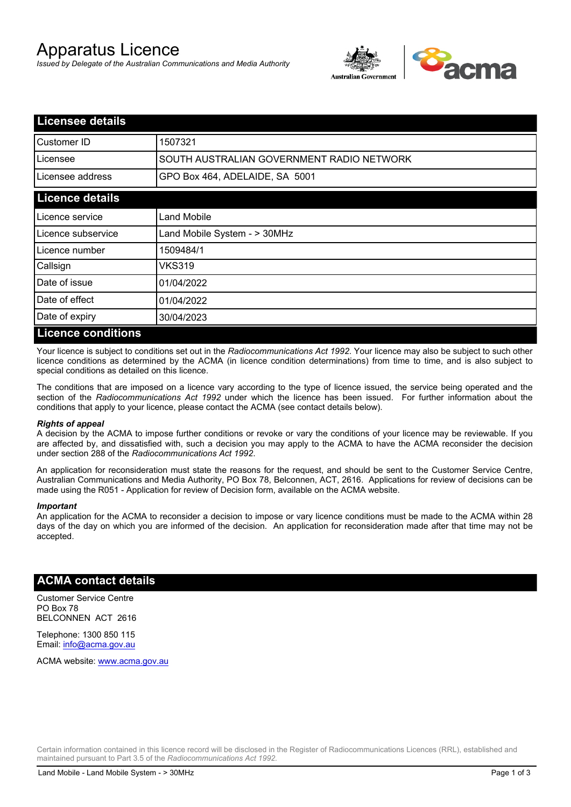# Apparatus Licence

*Issued by Delegate of the Australian Communications and Media Authority*



| <b>Licensee details</b>   |                                           |  |
|---------------------------|-------------------------------------------|--|
| Customer ID               | 1507321                                   |  |
| Licensee                  | SOUTH AUSTRALIAN GOVERNMENT RADIO NETWORK |  |
| Licensee address          | GPO Box 464, ADELAIDE, SA 5001            |  |
| <b>Licence details</b>    |                                           |  |
| Licence service           | Land Mobile                               |  |
| Licence subservice        | Land Mobile System - > 30MHz              |  |
| Licence number            | 1509484/1                                 |  |
| Callsign                  | VKS319                                    |  |
| Date of issue             | 01/04/2022                                |  |
| Date of effect            | 01/04/2022                                |  |
| Date of expiry            | 30/04/2023                                |  |
| <b>Licence conditions</b> |                                           |  |

Your licence is subject to conditions set out in the *Radiocommunications Act 1992*. Your licence may also be subject to such other licence conditions as determined by the ACMA (in licence condition determinations) from time to time, and is also subject to special conditions as detailed on this licence.

The conditions that are imposed on a licence vary according to the type of licence issued, the service being operated and the section of the *Radiocommunications Act 1992* under which the licence has been issued. For further information about the conditions that apply to your licence, please contact the ACMA (see contact details below).

#### *Rights of appeal*

A decision by the ACMA to impose further conditions or revoke or vary the conditions of your licence may be reviewable. If you are affected by, and dissatisfied with, such a decision you may apply to the ACMA to have the ACMA reconsider the decision under section 288 of the *Radiocommunications Act 1992*.

An application for reconsideration must state the reasons for the request, and should be sent to the Customer Service Centre, Australian Communications and Media Authority, PO Box 78, Belconnen, ACT, 2616. Applications for review of decisions can be made using the R051 - Application for review of Decision form, available on the ACMA website.

#### *Important*

An application for the ACMA to reconsider a decision to impose or vary licence conditions must be made to the ACMA within 28 days of the day on which you are informed of the decision. An application for reconsideration made after that time may not be accepted.

### **ACMA contact details**

Customer Service Centre PO Box 78 BELCONNEN ACT 2616

Telephone: 1300 850 115 Email: info@acma.gov.au

ACMA website: www.acma.gov.au

Certain information contained in this licence record will be disclosed in the Register of Radiocommunications Licences (RRL), established and maintained pursuant to Part 3.5 of the *Radiocommunications Act 1992.*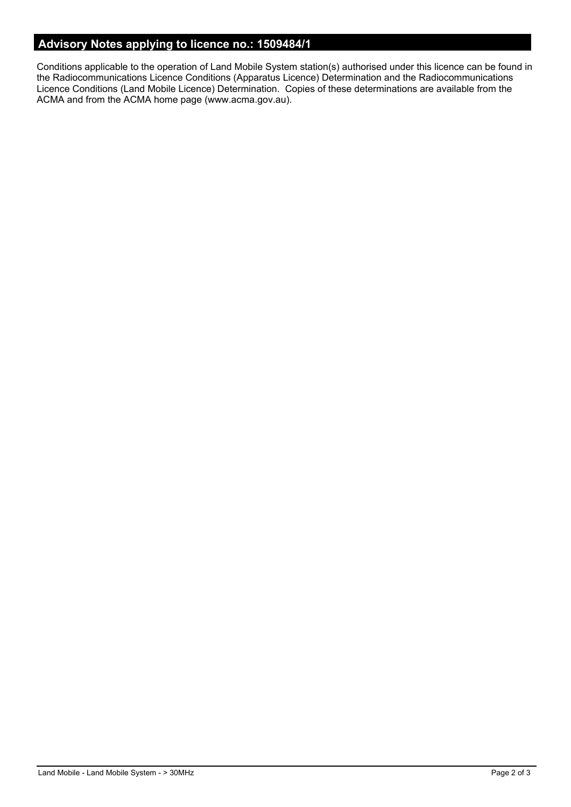# **Advisory Notes applying to licence no.: 1509484/1**

Conditions applicable to the operation of Land Mobile System station(s) authorised under this licence can be found in the Radiocommunications Licence Conditions (Apparatus Licence) Determination and the Radiocommunications Licence Conditions (Land Mobile Licence) Determination. Copies of these determinations are available from the ACMA and from the ACMA home page (www.acma.gov.au).